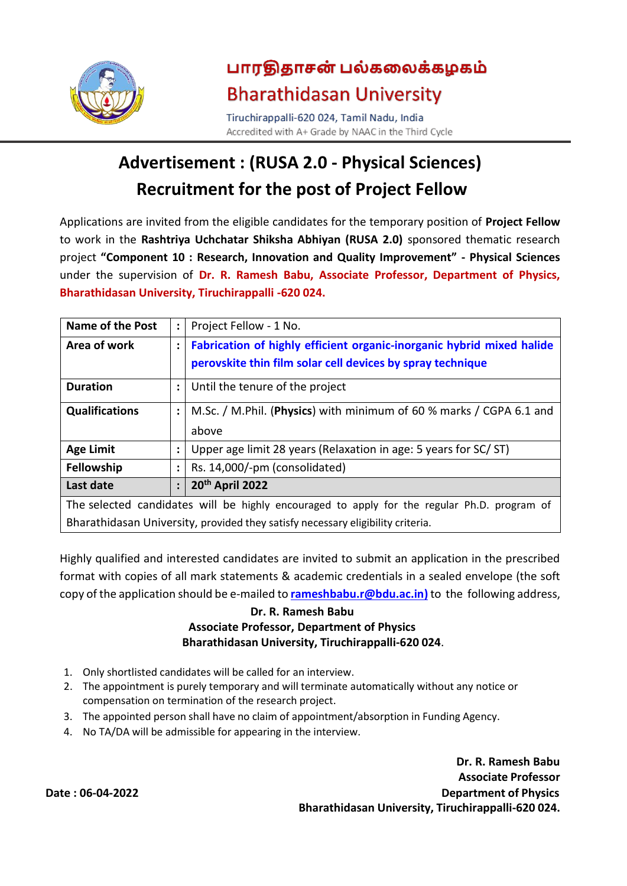

# பாரதிதாசன் பல்கலைக்கழகம் **Bharathidasan University**

Tiruchirappalli-620 024, Tamil Nadu, India Accredited with A+ Grade by NAAC in the Third Cycle

# **Advertisement : (RUSA 2.0 - Physical Sciences) Recruitment for the post of Project Fellow**

Applications are invited from the eligible candidates for the temporary position of **Project Fellow** to work in the **Rashtriya Uchchatar Shiksha Abhiyan (RUSA 2.0)** sponsored thematic research project **"Component 10 : Research, Innovation and Quality Improvement" - Physical Sciences** under the supervision of **Dr. R. Ramesh Babu, Associate Professor, Department of Physics, Bharathidasan University, Tiruchirappalli -620 024.**

| Name of the Post                                                                            | $\ddot{\phantom{a}}$ | Project Fellow - 1 No.                                                |  |  |  |
|---------------------------------------------------------------------------------------------|----------------------|-----------------------------------------------------------------------|--|--|--|
| Area of work                                                                                |                      | Fabrication of highly efficient organic-inorganic hybrid mixed halide |  |  |  |
|                                                                                             |                      | perovskite thin film solar cell devices by spray technique            |  |  |  |
| <b>Duration</b>                                                                             |                      | Until the tenure of the project                                       |  |  |  |
| <b>Qualifications</b>                                                                       |                      | M.Sc. / M.Phil. (Physics) with minimum of 60 % marks / CGPA 6.1 and   |  |  |  |
|                                                                                             |                      | above                                                                 |  |  |  |
| <b>Age Limit</b>                                                                            |                      | Upper age limit 28 years (Relaxation in age: 5 years for SC/ST)       |  |  |  |
| <b>Fellowship</b>                                                                           | $\ddot{\cdot}$       | Rs. 14,000/-pm (consolidated)                                         |  |  |  |
| Last date                                                                                   | $\ddot{\cdot}$       | 20th April 2022                                                       |  |  |  |
| The selected candidates will be highly encouraged to apply for the regular Ph.D. program of |                      |                                                                       |  |  |  |
| Bharathidasan University, provided they satisfy necessary eligibility criteria.             |                      |                                                                       |  |  |  |

Highly qualified and interested candidates are invited to submit an application in the prescribed format with copies of all mark statements & academic credentials in a sealed envelope (the soft copy of the application should be e-mailed to **[rameshbabu.r@bdu.ac.in\)](mailto:rameshbabu.r@bdu.ac.in)** to the following address,

### **Dr. R. Ramesh Babu Associate Professor, Department of Physics Bharathidasan University, Tiruchirappalli-620 024**.

- 1. Only shortlisted candidates will be called for an interview.
- 2. The appointment is purely temporary and will terminate automatically without any notice or compensation on termination of the research project.
- 3. The appointed person shall have no claim of appointment/absorption in Funding Agency.
- 4. No TA/DA will be admissible for appearing in the interview.

**Dr. R. Ramesh Babu Associate Professor Date : 06-04-2022 Department of Physics Bharathidasan University, Tiruchirappalli-620 024.**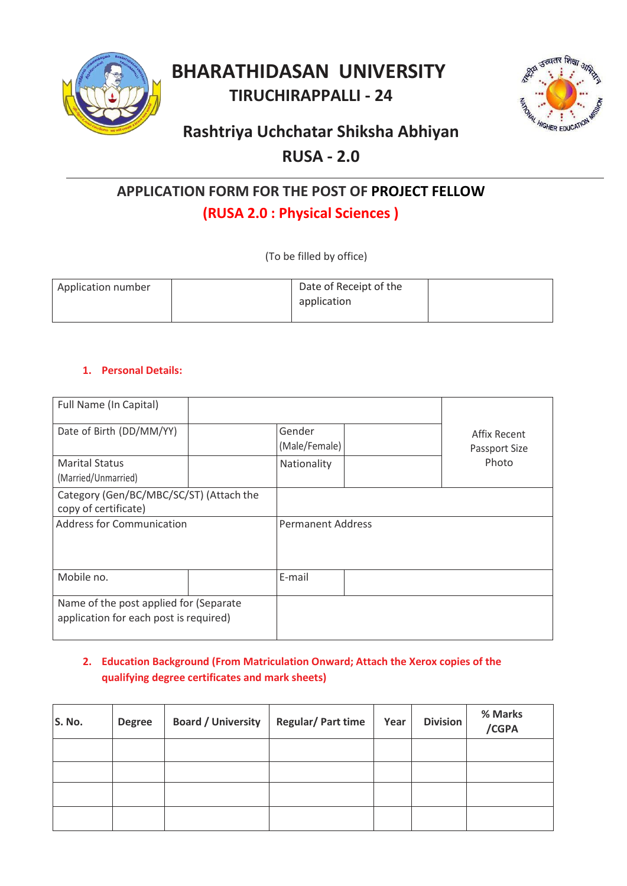

## **BHARATHIDASAN UNIVERSITY TIRUCHIRAPPALLI - 24**



## **Rashtriya Uchchatar Shiksha Abhiyan**

## **RUSA - 2.0**

## **APPLICATION FORM FOR THE POST OF PROJECT FELLOW**

## **(RUSA 2.0 : Physical Sciences )**

(To be filled by office)

| Application number | Date of Receipt of the |  |
|--------------------|------------------------|--|
|                    | application            |  |
|                    |                        |  |

## **1. Personal Details:**

| Full Name (In Capital)                                                           |  |                          |                               |
|----------------------------------------------------------------------------------|--|--------------------------|-------------------------------|
| Date of Birth (DD/MM/YY)                                                         |  | Gender<br>(Male/Female)  | Affix Recent<br>Passport Size |
| <b>Marital Status</b><br>(Married/Unmarried)                                     |  | Nationality              | Photo                         |
| Category (Gen/BC/MBC/SC/ST) (Attach the<br>copy of certificate)                  |  |                          |                               |
| <b>Address for Communication</b>                                                 |  | <b>Permanent Address</b> |                               |
| Mobile no.                                                                       |  | E-mail                   |                               |
| Name of the post applied for (Separate<br>application for each post is required) |  |                          |                               |

## **2. Education Background (From Matriculation Onward; Attach the Xerox copies of the qualifying degree certificates and mark sheets)**

| S. No. | <b>Degree</b> | <b>Board / University</b> | <b>Regular/Part time</b> | Year | <b>Division</b> | % Marks<br>/CGPA |
|--------|---------------|---------------------------|--------------------------|------|-----------------|------------------|
|        |               |                           |                          |      |                 |                  |
|        |               |                           |                          |      |                 |                  |
|        |               |                           |                          |      |                 |                  |
|        |               |                           |                          |      |                 |                  |